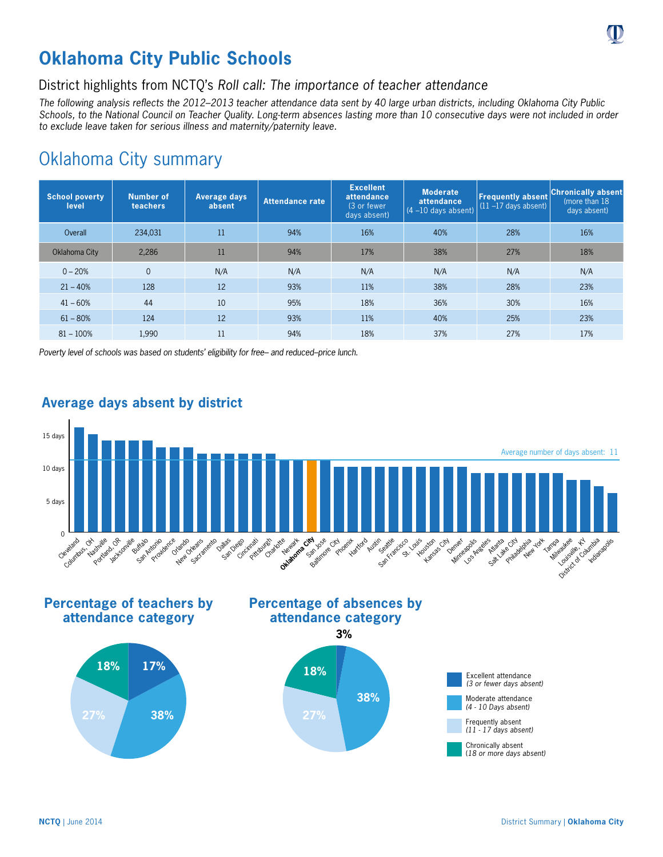# **Oklahoma City Public Schools**

## District highlights from NCTQ's *Roll call: The importance of teacher attendance*

*The following analysis reflects the 2012–2013 teacher attendance data sent by 40 large urban districts, including Oklahoma City Public Schools, to the National Council on Teacher Quality. Long-term absences lasting more than 10 consecutive days were not included in order to exclude leave taken for serious illness and maternity/paternity leave.*

## Oklahoma City summary

| <b>School poverty</b><br>level | <b>Number of</b><br>teachers | Average days<br>absent | Attendance rate | <b>Excellent</b><br>attendance<br>(3 or fewer)<br>days absent) | <b>Moderate</b><br>attendance<br>$(4 - 10$ days absent) | <b>Frequently absent</b><br>$(11 - 17$ days absent) | <b>Chronically absent</b><br>(more than 18)<br>days absent) |
|--------------------------------|------------------------------|------------------------|-----------------|----------------------------------------------------------------|---------------------------------------------------------|-----------------------------------------------------|-------------------------------------------------------------|
| Overall                        | 234,031                      | 11                     | 94%             | 16%                                                            | 40%                                                     | 28%                                                 | 16%                                                         |
| Oklahoma City                  | 2.286                        | 11                     | 94%             | 17%                                                            | 38%                                                     | 27%                                                 | 18%                                                         |
| $0 - 20%$                      | $\Omega$                     | N/A                    | N/A             | N/A                                                            | N/A                                                     | N/A                                                 | N/A                                                         |
| $21 - 40%$                     | 128                          | 12                     | 93%             | 11%                                                            | 38%                                                     | 28%                                                 | 23%                                                         |
| $41 - 60%$                     | 44                           | 10                     | 95%             | 18%                                                            | 36%                                                     | 30%                                                 | 16%                                                         |
| $61 - 80%$                     | 124                          | 12                     | 93%             | 11%                                                            | 40%                                                     | 25%                                                 | 23%                                                         |
| $81 - 100%$                    | 1.990                        | 11                     | 94%             | 18%                                                            | 37%                                                     | 27%                                                 | 17%                                                         |

*Poverty level of schools was based on students' eligibility for free– and reduced–price lunch.*



## **Average days absent by district**

**Percentage of teachers by attendance category**









(*18 or more days absent)*